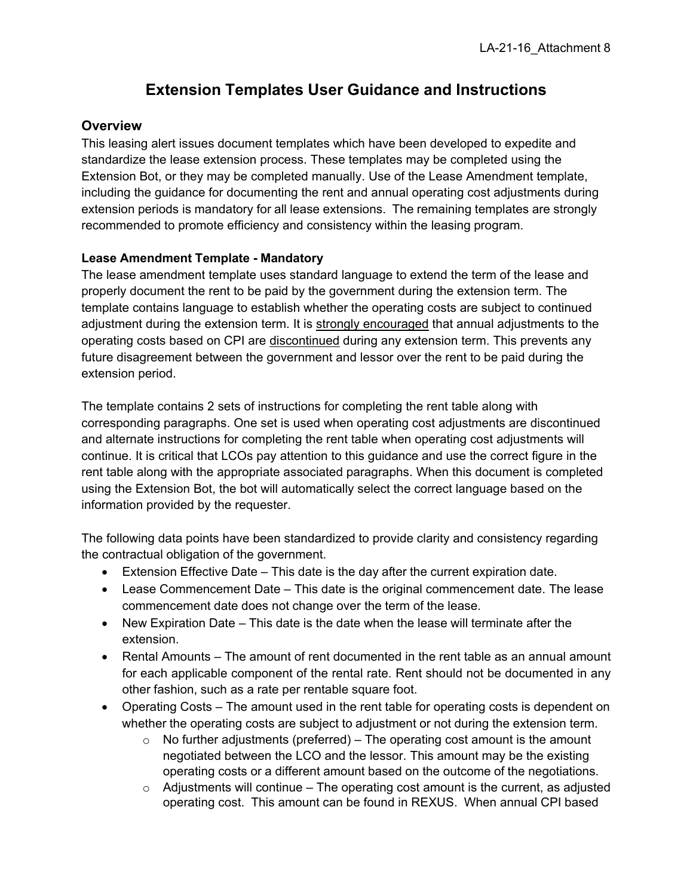## **Extension Templates User Guidance and Instructions**

### **Overview**

This leasing alert issues document templates which have been developed to expedite and standardize the lease extension process. These templates may be completed using the Extension Bot, or they may be completed manually. Use of the Lease Amendment template, including the guidance for documenting the rent and annual operating cost adjustments during extension periods is mandatory for all lease extensions. The remaining templates are strongly recommended to promote efficiency and consistency within the leasing program.

#### **Lease Amendment Template - Mandatory**

The lease amendment template uses standard language to extend the term of the lease and properly document the rent to be paid by the government during the extension term. The template contains language to establish whether the operating costs are subject to continued adjustment during the extension term. It is strongly encouraged that annual adjustments to the operating costs based on CPI are discontinued during any extension term. This prevents any future disagreement between the government and lessor over the rent to be paid during the extension period.

The template contains 2 sets of instructions for completing the rent table along with corresponding paragraphs. One set is used when operating cost adjustments are discontinued and alternate instructions for completing the rent table when operating cost adjustments will continue. It is critical that LCOs pay attention to this guidance and use the correct figure in the rent table along with the appropriate associated paragraphs. When this document is completed using the Extension Bot, the bot will automatically select the correct language based on the information provided by the requester.

The following data points have been standardized to provide clarity and consistency regarding the contractual obligation of the government.

- Extension Effective Date This date is the day after the current expiration date.
- Lease Commencement Date This date is the original commencement date. The lease commencement date does not change over the term of the lease.
- New Expiration Date This date is the date when the lease will terminate after the extension.
- Rental Amounts The amount of rent documented in the rent table as an annual amount for each applicable component of the rental rate. Rent should not be documented in any other fashion, such as a rate per rentable square foot.
- Operating Costs The amount used in the rent table for operating costs is dependent on whether the operating costs are subject to adjustment or not during the extension term.
	- $\circ$  No further adjustments (preferred) The operating cost amount is the amount negotiated between the LCO and the lessor. This amount may be the existing operating costs or a different amount based on the outcome of the negotiations.
	- $\circ$  Adjustments will continue The operating cost amount is the current, as adjusted operating cost. This amount can be found in REXUS. When annual CPI based